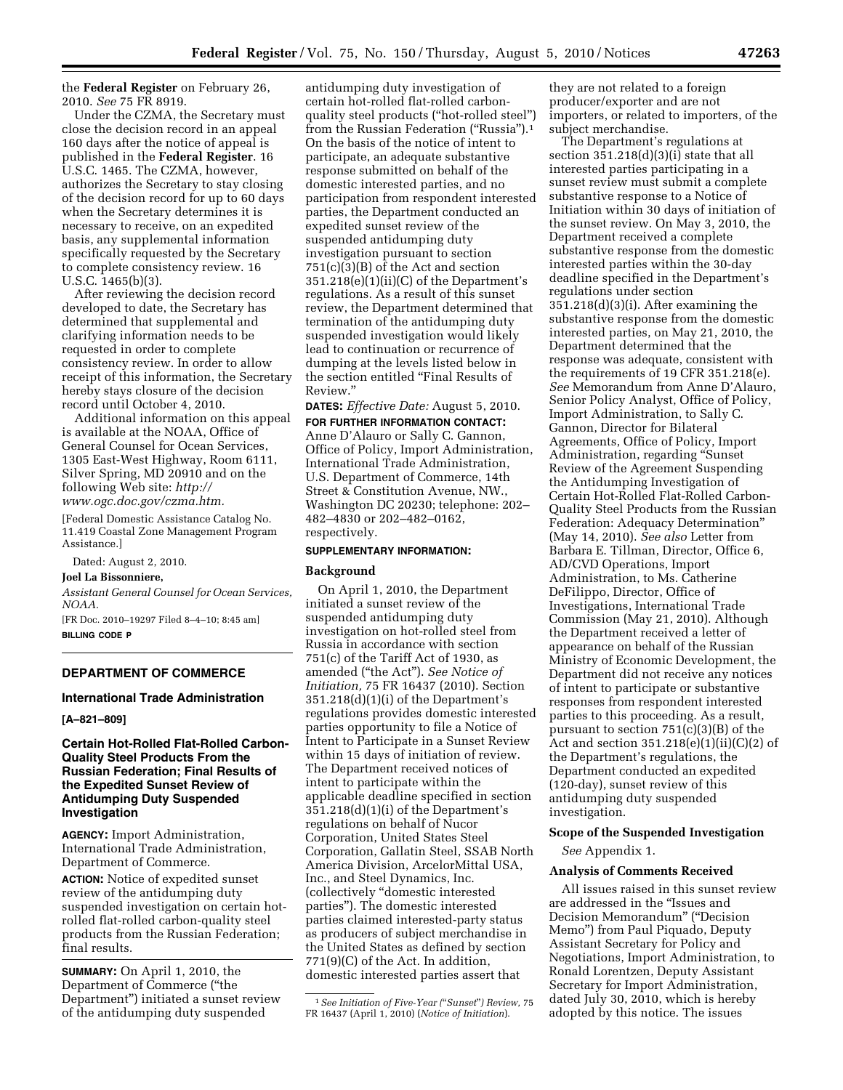the **Federal Register** on February 26, 2010. *See* 75 FR 8919.

Under the CZMA, the Secretary must close the decision record in an appeal 160 days after the notice of appeal is published in the **Federal Register**. 16 U.S.C. 1465. The CZMA, however, authorizes the Secretary to stay closing of the decision record for up to 60 days when the Secretary determines it is necessary to receive, on an expedited basis, any supplemental information specifically requested by the Secretary to complete consistency review. 16 U.S.C. 1465(b)(3).

After reviewing the decision record developed to date, the Secretary has determined that supplemental and clarifying information needs to be requested in order to complete consistency review. In order to allow receipt of this information, the Secretary hereby stays closure of the decision record until October 4, 2010.

Additional information on this appeal is available at the NOAA, Office of General Counsel for Ocean Services, 1305 East-West Highway, Room 6111, Silver Spring, MD 20910 and on the following Web site: *http:// www.ogc.doc.gov/czma.htm.* 

[Federal Domestic Assistance Catalog No. 11.419 Coastal Zone Management Program Assistance.]

Dated: August 2, 2010.

#### **Joel La Bissonniere,**

*Assistant General Counsel for Ocean Services, NOAA.* 

[FR Doc. 2010–19297 Filed 8–4–10; 8:45 am] **BILLING CODE P** 

# **DEPARTMENT OF COMMERCE**

### **International Trade Administration**

**[A–821–809]** 

### **Certain Hot-Rolled Flat-Rolled Carbon-Quality Steel Products From the Russian Federation; Final Results of the Expedited Sunset Review of Antidumping Duty Suspended Investigation**

**AGENCY:** Import Administration, International Trade Administration, Department of Commerce.

**ACTION:** Notice of expedited sunset review of the antidumping duty suspended investigation on certain hotrolled flat-rolled carbon-quality steel products from the Russian Federation; final results.

**SUMMARY:** On April 1, 2010, the Department of Commerce (''the Department'') initiated a sunset review of the antidumping duty suspended

antidumping duty investigation of certain hot-rolled flat-rolled carbonquality steel products (''hot-rolled steel'') from the Russian Federation ("Russia").<sup>1</sup> On the basis of the notice of intent to participate, an adequate substantive response submitted on behalf of the domestic interested parties, and no participation from respondent interested parties, the Department conducted an expedited sunset review of the suspended antidumping duty investigation pursuant to section 751(c)(3)(B) of the Act and section 351.218(e)(1)(ii)(C) of the Department's regulations. As a result of this sunset review, the Department determined that termination of the antidumping duty suspended investigation would likely lead to continuation or recurrence of dumping at the levels listed below in the section entitled ''Final Results of Review.''

**DATES:** *Effective Date:* August 5, 2010. **FOR FURTHER INFORMATION CONTACT:**  Anne D'Alauro or Sally C. Gannon, Office of Policy, Import Administration, International Trade Administration, U.S. Department of Commerce, 14th Street & Constitution Avenue, NW., Washington DC 20230; telephone: 202– 482–4830 or 202–482–0162, respectively.

#### **SUPPLEMENTARY INFORMATION:**

#### **Background**

On April 1, 2010, the Department initiated a sunset review of the suspended antidumping duty investigation on hot-rolled steel from Russia in accordance with section 751(c) of the Tariff Act of 1930, as amended (''the Act''). *See Notice of Initiation,* 75 FR 16437 (2010). Section 351.218(d)(1)(i) of the Department's regulations provides domestic interested parties opportunity to file a Notice of Intent to Participate in a Sunset Review within 15 days of initiation of review. The Department received notices of intent to participate within the applicable deadline specified in section 351.218(d)(1)(i) of the Department's regulations on behalf of Nucor Corporation, United States Steel Corporation, Gallatin Steel, SSAB North America Division, ArcelorMittal USA, Inc., and Steel Dynamics, Inc. (collectively ''domestic interested parties''). The domestic interested parties claimed interested-party status as producers of subject merchandise in the United States as defined by section 771(9)(C) of the Act. In addition, domestic interested parties assert that

they are not related to a foreign producer/exporter and are not importers, or related to importers, of the subject merchandise.

The Department's regulations at section 351.218(d)(3)(i) state that all interested parties participating in a sunset review must submit a complete substantive response to a Notice of Initiation within 30 days of initiation of the sunset review. On May 3, 2010, the Department received a complete substantive response from the domestic interested parties within the 30-day deadline specified in the Department's regulations under section 351.218(d)(3)(i). After examining the substantive response from the domestic interested parties, on May 21, 2010, the Department determined that the response was adequate, consistent with the requirements of 19 CFR 351.218(e). *See* Memorandum from Anne D'Alauro, Senior Policy Analyst, Office of Policy, Import Administration, to Sally C. Gannon, Director for Bilateral Agreements, Office of Policy, Import Administration, regarding ''Sunset Review of the Agreement Suspending the Antidumping Investigation of Certain Hot-Rolled Flat-Rolled Carbon-Quality Steel Products from the Russian Federation: Adequacy Determination'' (May 14, 2010). *See also* Letter from Barbara E. Tillman, Director, Office 6, AD/CVD Operations, Import Administration, to Ms. Catherine DeFilippo, Director, Office of Investigations, International Trade Commission (May 21, 2010). Although the Department received a letter of appearance on behalf of the Russian Ministry of Economic Development, the Department did not receive any notices of intent to participate or substantive responses from respondent interested parties to this proceeding. As a result, pursuant to section 751(c)(3)(B) of the Act and section  $351.218(e)(1)(ii)(C)(2)$  of the Department's regulations, the Department conducted an expedited (120-day), sunset review of this antidumping duty suspended investigation.

# **Scope of the Suspended Investigation**

*See* Appendix 1.

#### **Analysis of Comments Received**

All issues raised in this sunset review are addressed in the ''Issues and Decision Memorandum'' (''Decision Memo'') from Paul Piquado, Deputy Assistant Secretary for Policy and Negotiations, Import Administration, to Ronald Lorentzen, Deputy Assistant Secretary for Import Administration, dated July 30, 2010, which is hereby adopted by this notice. The issues

<sup>1</sup>*See Initiation of Five-Year (*''*Sunset*''*) Review,* 75 FR 16437 (April 1, 2010) (*Notice of Initiation*).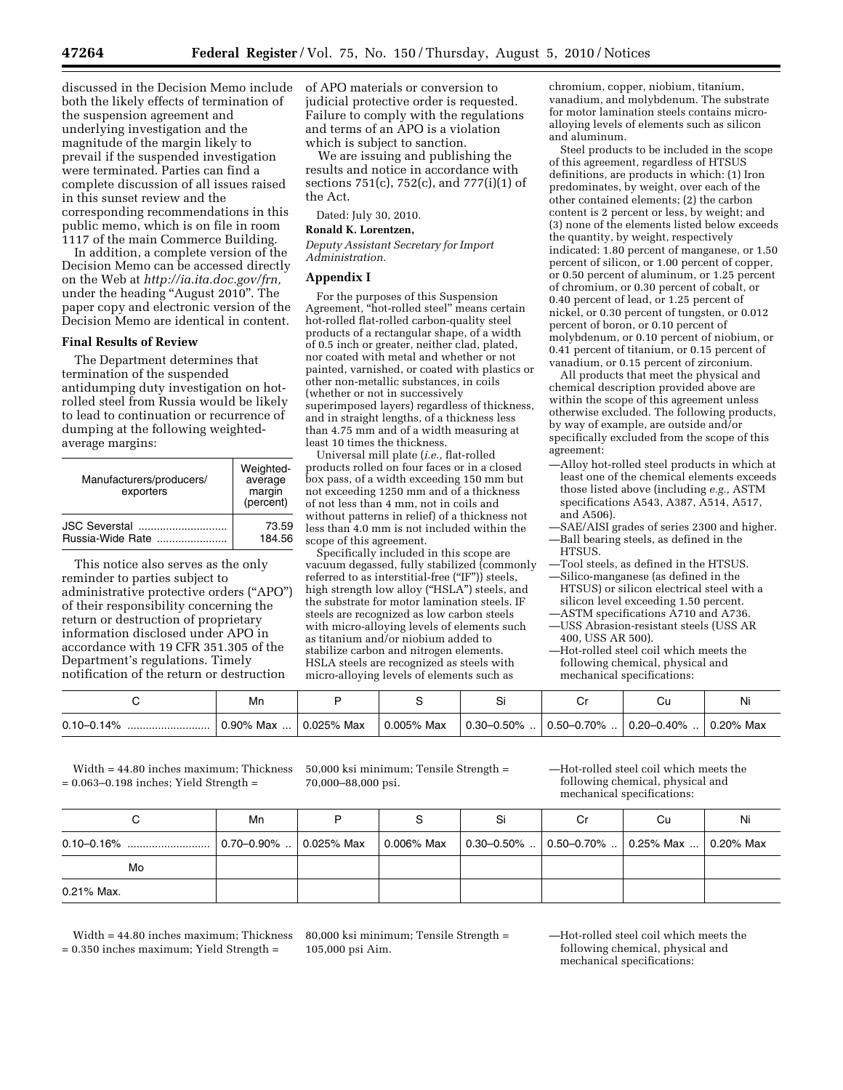discussed in the Decision Memo include both the likely effects of termination of the suspension agreement and underlying investigation and the magnitude of the margin likely to prevail if the suspended investigation were terminated. Parties can find a complete discussion of all issues raised in this sunset review and the corresponding recommendations in this public memo, which is on file in room 1117 of the main Commerce Building.

In addition, a complete version of the Decision Memo can be accessed directly on the Web at *http://ia.ita.doc.gov/frn,*  under the heading ''August 2010''. The paper copy and electronic version of the Decision Memo are identical in content.

### **Final Results of Review**

The Department determines that termination of the suspended antidumping duty investigation on hotrolled steel from Russia would be likely to lead to continuation or recurrence of dumping at the following weightedaverage margins:

| Manufacturers/producers/<br>exporters | Weighted-<br>average<br>margin<br>(percent) |
|---------------------------------------|---------------------------------------------|
| <b>JSC Severstal</b>                  | 73.59                                       |
| Russia-Wide Rate                      | 184.56                                      |

This notice also serves as the only reminder to parties subject to administrative protective orders (''APO'') of their responsibility concerning the return or destruction of proprietary information disclosed under APO in accordance with 19 CFR 351.305 of the Department's regulations. Timely notification of the return or destruction

of APO materials or conversion to judicial protective order is requested. Failure to comply with the regulations and terms of an APO is a violation which is subject to sanction.

We are issuing and publishing the results and notice in accordance with sections 751(c), 752(c), and 777(i)(1) of the Act.

Dated: July 30, 2010.

### **Ronald K. Lorentzen,**

*Deputy Assistant Secretary for Import Administration.* 

# **Appendix I**

For the purposes of this Suspension Agreement, ''hot-rolled steel'' means certain hot-rolled flat-rolled carbon-quality steel products of a rectangular shape, of a width of 0.5 inch or greater, neither clad, plated, nor coated with metal and whether or not painted, varnished, or coated with plastics or other non-metallic substances, in coils (whether or not in successively superimposed layers) regardless of thickness, and in straight lengths, of a thickness less than 4.75 mm and of a width measuring at least 10 times the thickness.

Universal mill plate (*i.e.,* flat-rolled products rolled on four faces or in a closed box pass, of a width exceeding 150 mm but not exceeding 1250 mm and of a thickness of not less than 4 mm, not in coils and without patterns in relief) of a thickness not less than 4.0 mm is not included within the scope of this agreement.

Specifically included in this scope are vacuum degassed, fully stabilized (commonly referred to as interstitial-free ("IF")) steels, high strength low alloy ("HSLA") steels, and the substrate for motor lamination steels. IF steels are recognized as low carbon steels with micro-alloying levels of elements such as titanium and/or niobium added to stabilize carbon and nitrogen elements. HSLA steels are recognized as steels with micro-alloying levels of elements such as

chromium, copper, niobium, titanium, vanadium, and molybdenum. The substrate for motor lamination steels contains microalloying levels of elements such as silicon and aluminum.

Steel products to be included in the scope of this agreement, regardless of HTSUS definitions, are products in which: (1) Iron predominates, by weight, over each of the other contained elements; (2) the carbon content is 2 percent or less, by weight; and (3) none of the elements listed below exceeds the quantity, by weight, respectively indicated: 1.80 percent of manganese, or 1.50 percent of silicon, or 1.00 percent of copper, or 0.50 percent of aluminum, or 1.25 percent of chromium, or 0.30 percent of cobalt, or 0.40 percent of lead, or 1.25 percent of nickel, or 0.30 percent of tungsten, or 0.012 percent of boron, or 0.10 percent of molybdenum, or 0.10 percent of niobium, or 0.41 percent of titanium, or 0.15 percent of vanadium, or 0.15 percent of zirconium.

All products that meet the physical and chemical description provided above are within the scope of this agreement unless otherwise excluded. The following products, by way of example, are outside and/or specifically excluded from the scope of this agreement:

- —Alloy hot-rolled steel products in which at least one of the chemical elements exceeds those listed above (including *e.g.,* ASTM specifications A543, A387, A514, A517, and A506).
- —SAE/AISI grades of series 2300 and higher. —Ball bearing steels, as defined in the HTSUS.
- —Tool steels, as defined in the HTSUS. —Silico-manganese (as defined in the HTSUS) or silicon electrical steel with a silicon level exceeding 1.50 percent.
- —ASTM specifications A710 and A736. —USS Abrasion-resistant steels (USS AR 400, USS AR 500).
- —Hot-rolled steel coil which meets the following chemical, physical and mechanical specifications:

|                | Mn               |            |            |                 |                 |                                   | Ni        |
|----------------|------------------|------------|------------|-----------------|-----------------|-----------------------------------|-----------|
| $0.10 - 0.14%$ | $^{+}$ 0.90% Max | 0.025% Max | 0.005% Max | $0.30 - 0.50\%$ | $0.50 - 0.70\%$ | $\frac{1}{2}$ 0.20–0.40% $\ldots$ | 0.20% Max |

Width = 44.80 inches maximum; Thickness = 0.063–0.198 inches; Yield Strength =

50,000 ksi minimum; Tensile Strength = 70,000–88,000 psi.

—Hot-rolled steel coil which meets the following chemical, physical and mechanical specifications:

|               | Mn |            | Si | Cr                                                                                | Cu | Ni |
|---------------|----|------------|----|-----------------------------------------------------------------------------------|----|----|
|               |    | 0.006% Max |    | $\vert 0.30 - 0.50\%$ $\vert 0.50 - 0.70\%$ $\vert 0.25\%$ Max $\vert 0.20\%$ Max |    |    |
| Mo            |    |            |    |                                                                                   |    |    |
| $0.21\%$ Max. |    |            |    |                                                                                   |    |    |

Width = 44.80 inches maximum; Thickness = 0.350 inches maximum; Yield Strength =

80,000 ksi minimum; Tensile Strength = 105,000 psi Aim.

—Hot-rolled steel coil which meets the following chemical, physical and mechanical specifications: